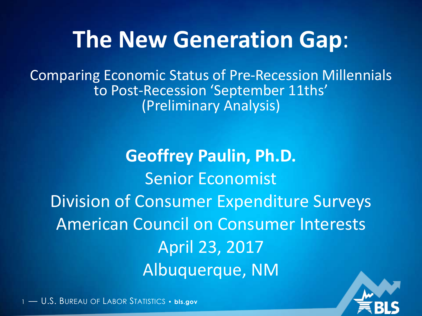## **The New Generation Gap**:

Comparing Economic Status of Pre-Recession Millennials to Post-Recession 'September 11ths' (Preliminary Analysis)

**Geoffrey Paulin, Ph.D.** Senior Economist Division of Consumer Expenditure Surveys American Council on Consumer Interests April 23, 2017 Albuquerque, NM

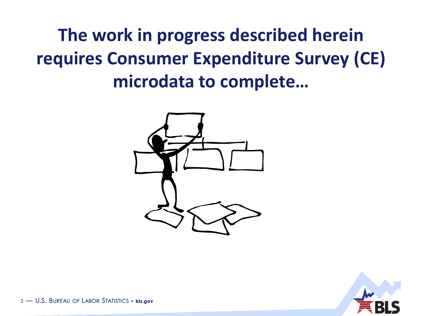### **The work in progress described herein requires Consumer Expenditure Survey (CE) microdata to complete…**



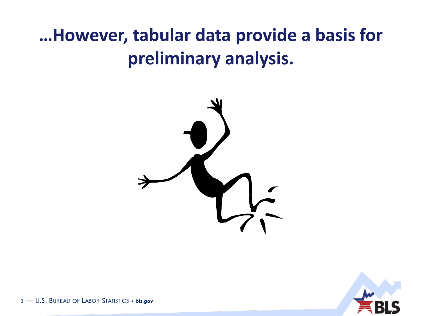### **…However, tabular data provide a basis for preliminary analysis.**



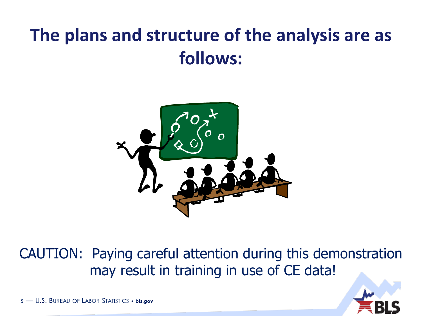#### **The plans and structure of the analysis are as follows:**



CAUTION: Paying careful attention during this demonstration may result in training in use of CE data!

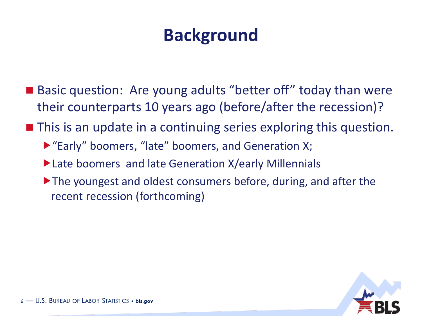#### **Background**

- Basic question: Are young adults "better off" today than were their counterparts 10 years ago (before/after the recession)?
- This is an update in a continuing series exploring this question.
	- ▶ "Early" boomers, "late" boomers, and Generation X;
	- Late boomers and late Generation X/early Millennials
	- ▶ The youngest and oldest consumers before, during, and after the recent recession (forthcoming)

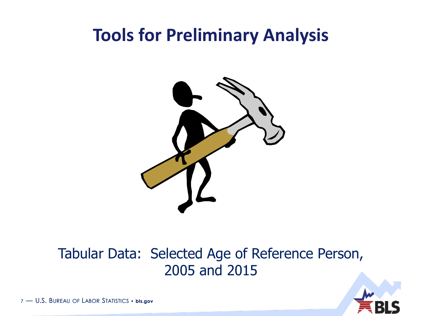#### **Tools for Preliminary Analysis**



#### Tabular Data: Selected Age of Reference Person, 2005 and 2015

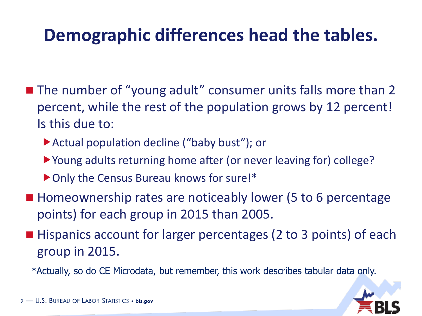#### **Demographic differences head the tables.**

- The number of "young adult" consumer units falls more than 2 percent, while the rest of the population grows by 12 percent! Is this due to:
	- ▶ Actual population decline ("baby bust"); or
	- Young adults returning home after (or never leaving for) college?
	- ▶ Only the Census Bureau knows for sure!\*
- Homeownership rates are noticeably lower (5 to 6 percentage points) for each group in 2015 than 2005.
- Hispanics account for larger percentages (2 to 3 points) of each group in 2015.

\*Actually, so do CE Microdata, but remember, this work describes tabular data only.

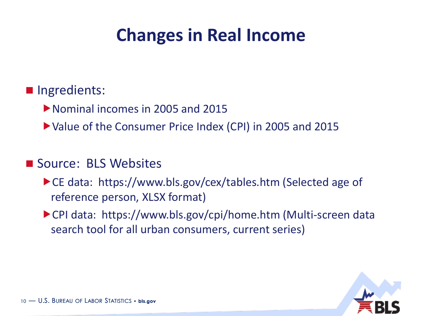#### **Changes in Real Income**

#### **Ingredients:**

Nominal incomes in 2005 and 2015

Value of the Consumer Price Index (CPI) in 2005 and 2015

#### ■ Source: BLS Websites

- ▶ CE data: https://www.bls.gov/cex/tables.htm (Selected age of reference person, XLSX format)
- ▶ CPI data: https://www.bls.gov/cpi/home.htm (Multi-screen data search tool for all urban consumers, current series)

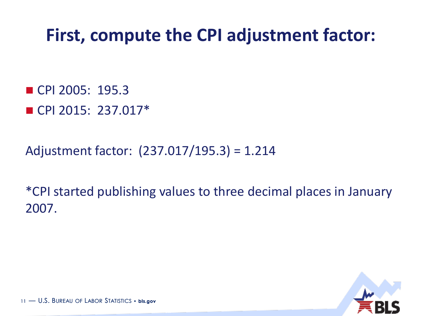#### **First, compute the CPI adjustment factor:**

■ CPI 2005: 195.3  $\blacksquare$  CPI 2015: 237.017\*

Adjustment factor: (237.017/195.3) = 1.214

\*CPI started publishing values to three decimal places in January 2007.

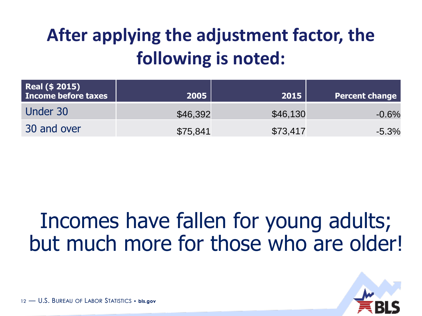### **After applying the adjustment factor, the following is noted:**

| <b>Real (\$ 2015)</b><br>Income before taxes | 2005     | 2015     | <b>Percent change</b> |
|----------------------------------------------|----------|----------|-----------------------|
| Under 30                                     | \$46,392 | \$46,130 | $-0.6%$               |
| 30 and over                                  | \$75,841 | \$73,417 | $-5.3%$               |

## Incomes have fallen for young adults; but much more for those who are older!

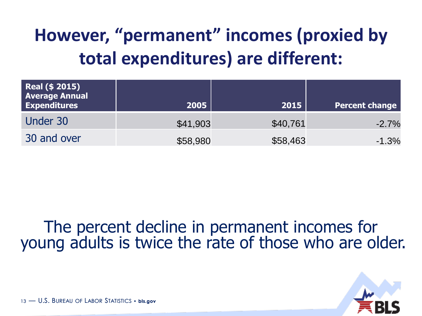### **However, "permanent" incomes (proxied by total expenditures) are different:**

| <b>Real (\$ 2015)</b><br><b>Average Annual</b><br><b>Expenditures</b> | 2005     | 2015     | <b>Percent change</b> |
|-----------------------------------------------------------------------|----------|----------|-----------------------|
| Under 30                                                              | \$41,903 | \$40,761 | $-2.7%$               |
| 30 and over                                                           | \$58,980 | \$58,463 | $-1.3%$               |

#### The percent decline in permanent incomes for young adults is twice the rate of those who are older.

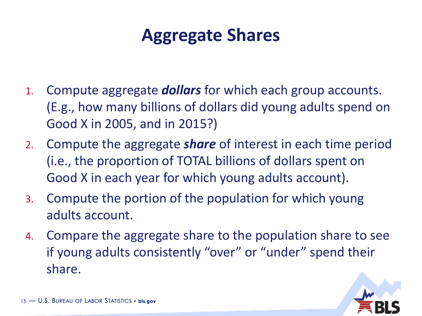#### **Aggregate Shares**

- 1. Compute aggregate *dollars* for which each group accounts. (E.g., how many billions of dollars did young adults spend on Good X in 2005, and in 2015?)
- 2. Compute the aggregate *share* of interest in each time period (i.e., the proportion of TOTAL billions of dollars spent on Good X in each year for which young adults account).
- 3. Compute the portion of the population for which young adults account.
- 4. Compare the aggregate share to the population share to see if young adults consistently "over" or "under" spend their share.

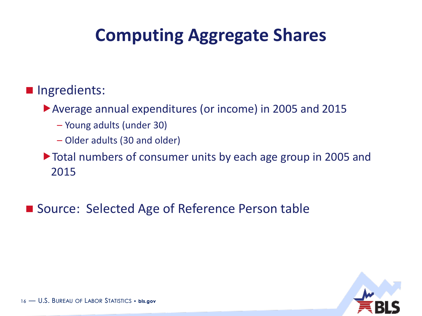#### **Computing Aggregate Shares**

#### **Ingredients:**

Average annual expenditures (or income) in 2005 and 2015

- Young adults (under 30)
- Older adults (30 and older)

Total numbers of consumer units by each age group in 2005 and 2015

■ Source: Selected Age of Reference Person table

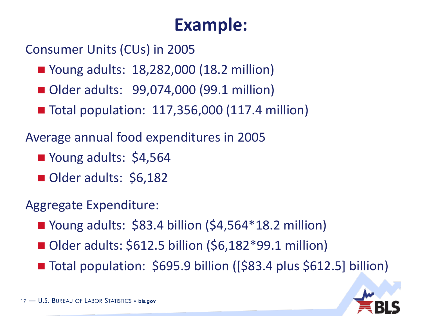#### **Example:**

Consumer Units (CUs) in 2005

- Young adults: 18,282,000 (18.2 million)
- Older adults: 99,074,000 (99.1 million)
- Total population: 117,356,000 (117.4 million)

Average annual food expenditures in 2005

- Young adults: \$4,564
- Older adults: \$6,182

Aggregate Expenditure:

- Young adults:  $$83.4$  billion  $$4,564*18.2$  million)
- Older adults: \$612.5 billion (\$6,182\*99.1 million)
- Total population: \$695.9 billion ([\$83.4 plus \$612.5] billion)

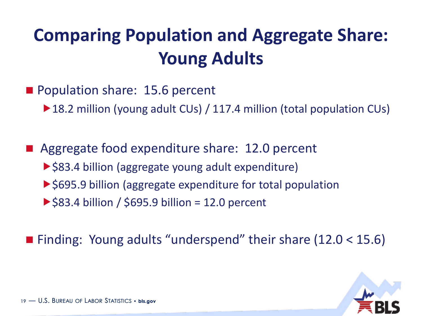### **Comparing Population and Aggregate Share: Young Adults**

Population share: 15.6 percent

▶ 18.2 million (young adult CUs) / 117.4 million (total population CUs)

■ Aggregate food expenditure share: 12.0 percent ▶ \$83.4 billion (aggregate young adult expenditure) ▶ \$695.9 billion (aggregate expenditure for total population  $\triangleright$  \$83.4 billion / \$695.9 billion = 12.0 percent

■ Finding: Young adults "underspend" their share (12.0 < 15.6)

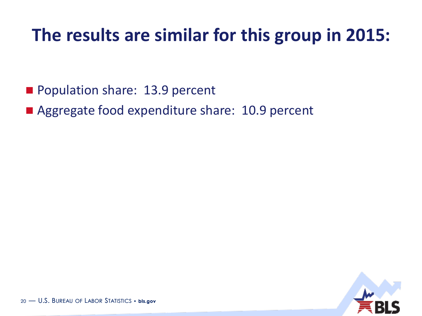#### **The results are similar for this group in 2015:**

- Population share: 13.9 percent
- Aggregate food expenditure share: 10.9 percent

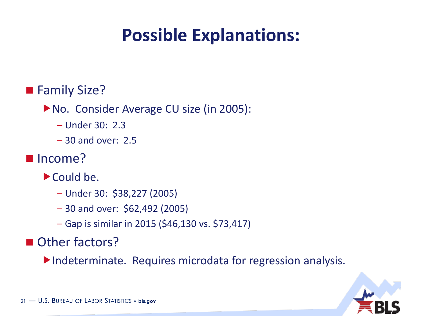#### **Possible Explanations:**

#### ■ Family Size?

▶ No. Consider Average CU size (in 2005):

- Under 30: 2.3
- 30 and over: 2.5
- Income?
	- Could be.
		- Under 30: \$38,227 (2005)
		- 30 and over: \$62,492 (2005)
		- Gap is similar in 2015 (\$46,130 vs. \$73,417)

Other factors?

Indeterminate. Requires microdata for regression analysis.

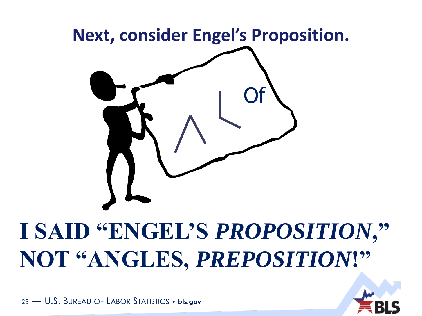

## **I SAID "ENGEL'S** *PROPOSITION***," NOT "ANGLES,** *PREPOSITION***!"**

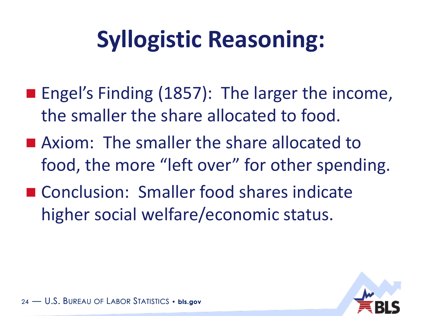## **Syllogistic Reasoning:**

- **Engel's Finding (1857): The larger the income,** the smaller the share allocated to food.
- **Axiom:** The smaller the share allocated to food, the more "left over" for other spending.
- Conclusion: Smaller food shares indicate higher social welfare/economic status.

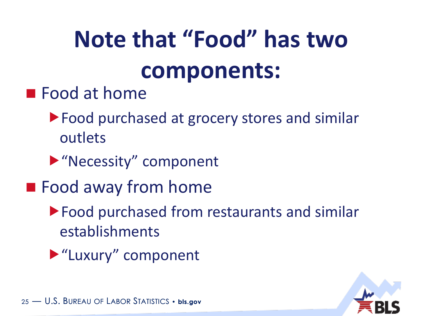# **Note that "Food" has two components:**

- **Food at home** 
	- ▶ Food purchased at grocery stores and similar outlets
	- "Necessity" component
- **Food away from home** 
	- Food purchased from restaurants and similar establishments
	- "Luxury" component

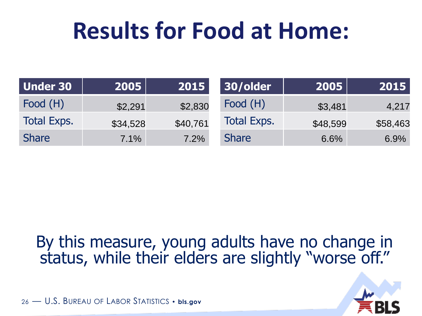## **Results for Food at Home:**

| Under 30           | 2005     | 2015     | 30/older           | 2005     | 2015     |
|--------------------|----------|----------|--------------------|----------|----------|
| Food (H)           | \$2,291  | \$2,830  | Food (H)           | \$3,481  | 4,217    |
| <b>Total Exps.</b> | \$34,528 | \$40,761 | <b>Total Exps.</b> | \$48,599 | \$58,463 |
| <b>Share</b>       | 7.1%     | 7.2%     | <b>Share</b>       | 6.6%     | 6.9%     |

#### By this measure, young adults have no change in status, while their elders are slightly "worse off."

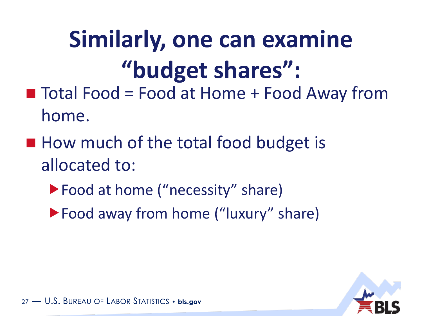# **Similarly, one can examine "budget shares":**

- $\blacksquare$  Total Food = Food at Home + Food Away from home.
- How much of the total food budget is allocated to:
	- ▶ Food at home ("necessity" share)
	- ▶ Food away from home ("luxury" share)

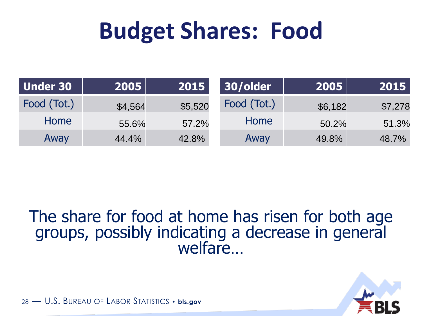## **Budget Shares: Food**

| <b>Under 30</b> | 2005    | 2015    | 30/older    | 2005    | 2015    |
|-----------------|---------|---------|-------------|---------|---------|
| Food (Tot.)     | \$4,564 | \$5,520 | Food (Tot.) | \$6,182 | \$7,278 |
| Home            | 55.6%   | 57.2%   | Home        | 50.2%   | 51.3%   |
| Away            | 44.4%   | 42.8%   | Away        | 49.8%   | 48.7%   |

#### The share for food at home has risen for both age groups, possibly indicating a decrease in general welfare…

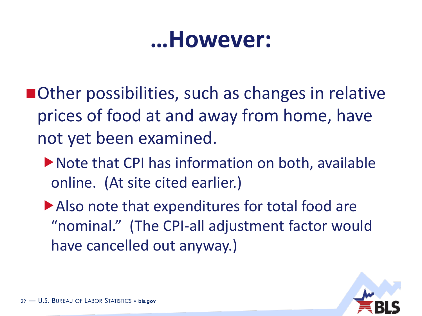## **…However:**

- ■Other possibilities, such as changes in relative prices of food at and away from home, have not yet been examined.
	- Note that CPI has information on both, available online. (At site cited earlier.)
	- Also note that expenditures for total food are "nominal." (The CPI-all adjustment factor would have cancelled out anyway.)

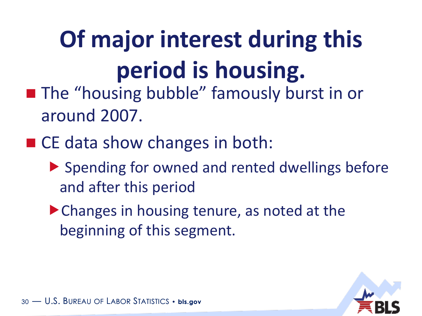# **Of major interest during this period is housing.**

- **The "housing bubble" famously burst in or** around 2007.
- CE data show changes in both:
	- ▶ Spending for owned and rented dwellings before and after this period
	- ▶ Changes in housing tenure, as noted at the beginning of this segment.

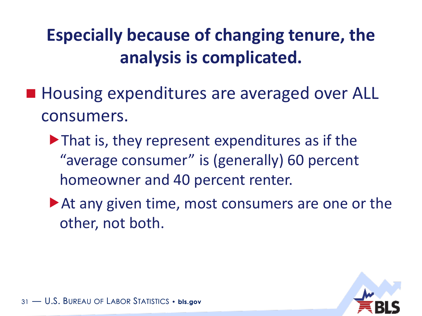#### **Especially because of changing tenure, the analysis is complicated.**

- Housing expenditures are averaged over ALL consumers.
	- ▶ That is, they represent expenditures as if the "average consumer" is (generally) 60 percent homeowner and 40 percent renter.
	- ▶ At any given time, most consumers are one or the other, not both.

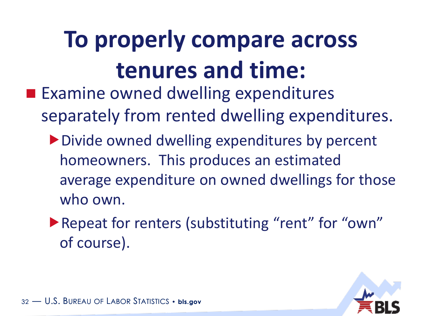# **To properly compare across tenures and time:**

- **Examine owned dwelling expenditures** separately from rented dwelling expenditures.
	- ▶ Divide owned dwelling expenditures by percent homeowners. This produces an estimated average expenditure on owned dwellings for those who own.
	- ▶ Repeat for renters (substituting "rent" for "own" of course).

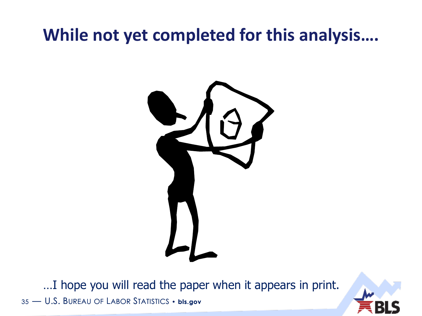#### **While not yet completed for this analysis….**



35 — U.S. BUREAU OF LABOR STATISTICS • **bls.gov** …I hope you will read the paper when it appears in print.

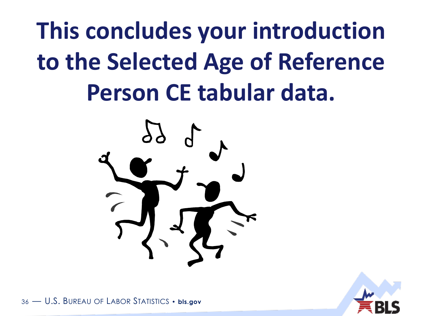**This concludes your introduction to the Selected Age of Reference Person CE tabular data.**